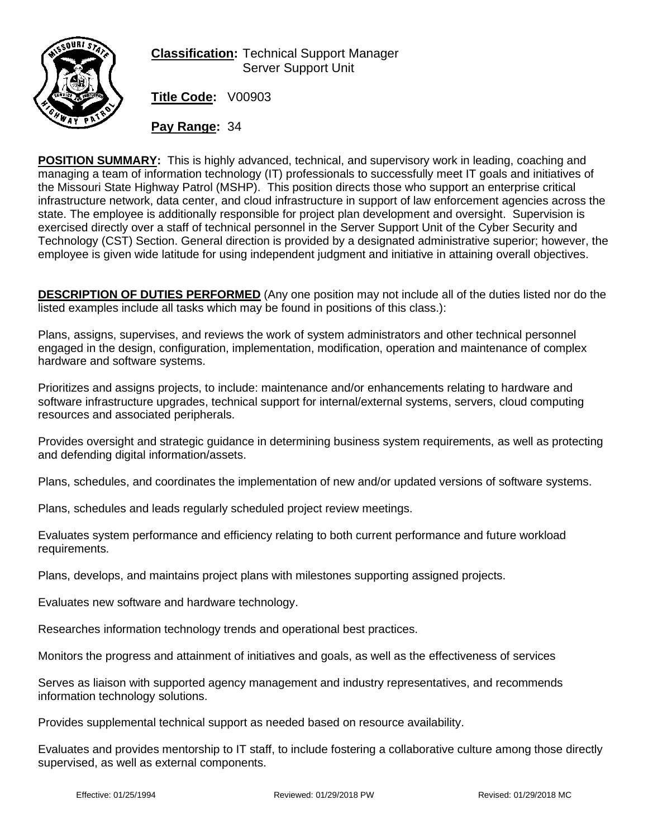

## **Classification:** Technical Support Manager Server Support Unit

**Title Code:** V00903

**Pay Range:** 34

**POSITION SUMMARY:** This is highly advanced, technical, and supervisory work in leading, coaching and managing a team of information technology (IT) professionals to successfully meet IT goals and initiatives of the Missouri State Highway Patrol (MSHP). This position directs those who support an enterprise critical infrastructure network, data center, and cloud infrastructure in support of law enforcement agencies across the state. The employee is additionally responsible for project plan development and oversight. Supervision is exercised directly over a staff of technical personnel in the Server Support Unit of the Cyber Security and Technology (CST) Section. General direction is provided by a designated administrative superior; however, the employee is given wide latitude for using independent judgment and initiative in attaining overall objectives.

**DESCRIPTION OF DUTIES PERFORMED** (Any one position may not include all of the duties listed nor do the listed examples include all tasks which may be found in positions of this class.):

Plans, assigns, supervises, and reviews the work of system administrators and other technical personnel engaged in the design, configuration, implementation, modification, operation and maintenance of complex hardware and software systems.

Prioritizes and assigns projects, to include: maintenance and/or enhancements relating to hardware and software infrastructure upgrades, technical support for internal/external systems, servers, cloud computing resources and associated peripherals.

Provides oversight and strategic guidance in determining business system requirements, as well as protecting and defending digital information/assets.

Plans, schedules, and coordinates the implementation of new and/or updated versions of software systems.

Plans, schedules and leads regularly scheduled project review meetings.

Evaluates system performance and efficiency relating to both current performance and future workload requirements.

Plans, develops, and maintains project plans with milestones supporting assigned projects.

Evaluates new software and hardware technology.

Researches information technology trends and operational best practices.

Monitors the progress and attainment of initiatives and goals, as well as the effectiveness of services

Serves as liaison with supported agency management and industry representatives, and recommends information technology solutions.

Provides supplemental technical support as needed based on resource availability.

Evaluates and provides mentorship to IT staff, to include fostering a collaborative culture among those directly supervised, as well as external components.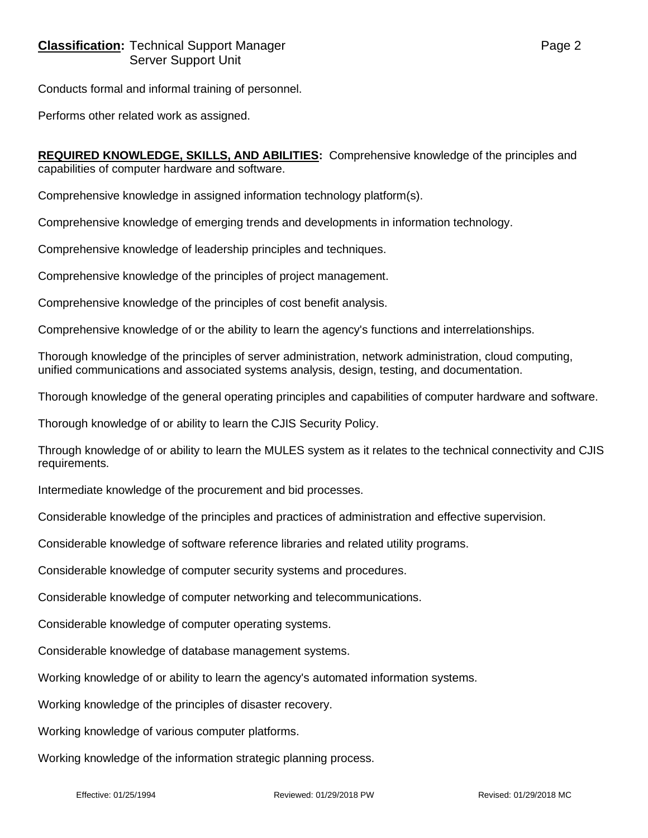Conducts formal and informal training of personnel.

Performs other related work as assigned.

**REQUIRED KNOWLEDGE, SKILLS, AND ABILITIES:** Comprehensive knowledge of the principles and capabilities of computer hardware and software.

Comprehensive knowledge in assigned information technology platform(s).

Comprehensive knowledge of emerging trends and developments in information technology.

Comprehensive knowledge of leadership principles and techniques.

Comprehensive knowledge of the principles of project management.

Comprehensive knowledge of the principles of cost benefit analysis.

Comprehensive knowledge of or the ability to learn the agency's functions and interrelationships.

Thorough knowledge of the principles of server administration, network administration, cloud computing, unified communications and associated systems analysis, design, testing, and documentation.

Thorough knowledge of the general operating principles and capabilities of computer hardware and software.

Thorough knowledge of or ability to learn the CJIS Security Policy.

Through knowledge of or ability to learn the MULES system as it relates to the technical connectivity and CJIS requirements.

Intermediate knowledge of the procurement and bid processes.

Considerable knowledge of the principles and practices of administration and effective supervision.

Considerable knowledge of software reference libraries and related utility programs.

Considerable knowledge of computer security systems and procedures.

Considerable knowledge of computer networking and telecommunications.

Considerable knowledge of computer operating systems.

Considerable knowledge of database management systems.

Working knowledge of or ability to learn the agency's automated information systems.

Working knowledge of the principles of disaster recovery.

Working knowledge of various computer platforms.

Working knowledge of the information strategic planning process.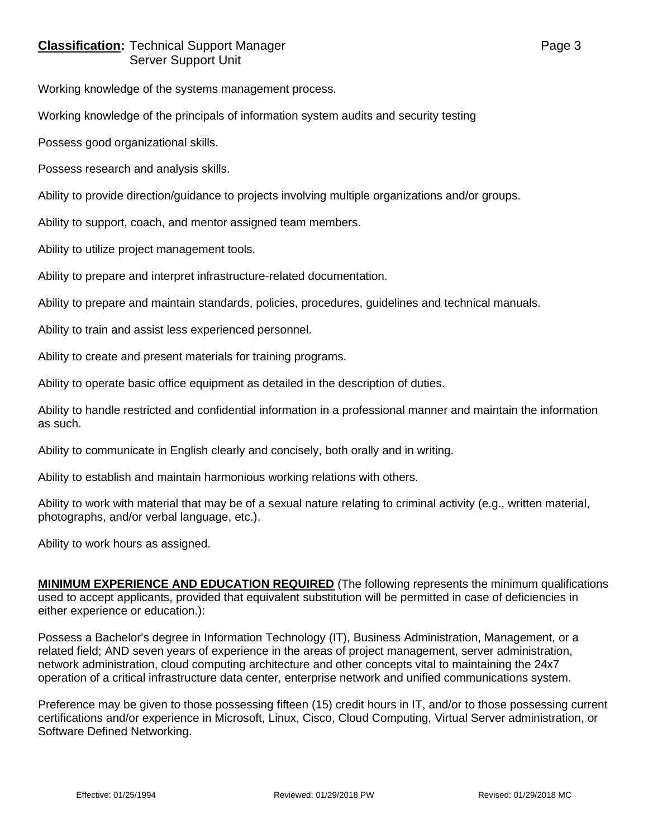## **Classification:** Technical Support Manager **Page 3** Page 3 Server Support Unit

Working knowledge of the systems management process.

Working knowledge of the principals of information system audits and security testing

Possess good organizational skills.

Possess research and analysis skills.

Ability to provide direction/guidance to projects involving multiple organizations and/or groups.

Ability to support, coach, and mentor assigned team members.

Ability to utilize project management tools.

Ability to prepare and interpret infrastructure-related documentation.

Ability to prepare and maintain standards, policies, procedures, guidelines and technical manuals.

Ability to train and assist less experienced personnel.

Ability to create and present materials for training programs.

Ability to operate basic office equipment as detailed in the description of duties.

Ability to handle restricted and confidential information in a professional manner and maintain the information as such.

Ability to communicate in English clearly and concisely, both orally and in writing.

Ability to establish and maintain harmonious working relations with others.

Ability to work with material that may be of a sexual nature relating to criminal activity (e.g., written material, photographs, and/or verbal language, etc.).

Ability to work hours as assigned.

**MINIMUM EXPERIENCE AND EDUCATION REQUIRED** (The following represents the minimum qualifications used to accept applicants, provided that equivalent substitution will be permitted in case of deficiencies in either experience or education.):

Possess a Bachelor's degree in Information Technology (IT), Business Administration, Management, or a related field; AND seven years of experience in the areas of project management, server administration, network administration, cloud computing architecture and other concepts vital to maintaining the 24x7 operation of a critical infrastructure data center, enterprise network and unified communications system.

Preference may be given to those possessing fifteen (15) credit hours in IT, and/or to those possessing current certifications and/or experience in Microsoft, Linux, Cisco, Cloud Computing, Virtual Server administration, or Software Defined Networking.